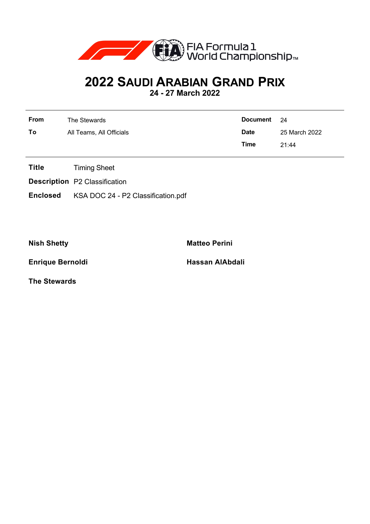

## **2022 SAUDI ARABIAN GRAND PRIX**

**24 - 27 March 2022**

| <b>From</b> | The Stewards             | Document 24 |               |
|-------------|--------------------------|-------------|---------------|
| To          | All Teams, All Officials | <b>Date</b> | 25 March 2022 |
|             |                          | Time        | 21:44         |

- **Title** Timing Sheet
- **Description** P2 Classification
- **Enclosed** KSA DOC 24 P2 Classification.pdf

**Nish Shetty Matteo Perini** 

**Enrique Bernoldi Hassan AlAbdali** 

**The Stewards**